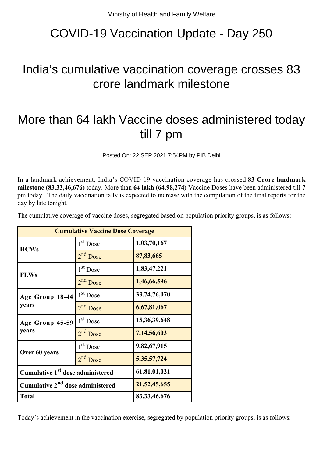## COVID-19 Vaccination Update - Day 250

## India's cumulative vaccination coverage crosses 83 crore landmark milestone

## More than 64 lakh Vaccine doses administered today till 7 pm

Posted On: 22 SEP 2021 7:54PM by PIB Delhi

In a landmark achievement, India's COVID-19 vaccination coverage has crossed **83 Crore landmark milestone (83,33,46,676)** today. More than **64 lakh (64,98,274)** Vaccine Doses have been administered till 7 pm today. The daily vaccination tally is expected to increase with the compilation of the final reports for the day by late tonight.

The cumulative coverage of vaccine doses, segregated based on population priority groups, is as follows:

| <b>Cumulative Vaccine Dose Coverage</b>      |                      |                 |
|----------------------------------------------|----------------------|-----------------|
| <b>HCWs</b>                                  | $1st$ Dose           | 1,03,70,167     |
|                                              | 2 <sup>nd</sup> Dose | 87,83,665       |
| <b>FLWs</b>                                  | 1 <sup>st</sup> Dose | 1,83,47,221     |
|                                              | 2 <sup>nd</sup> Dose | 1,46,66,596     |
| Age Group 18-44<br>years                     | 1 <sup>st</sup> Dose | 33,74,76,070    |
|                                              | 2 <sup>nd</sup> Dose | 6,67,81,067     |
| Age Group 45-59<br>years                     | $1st$ Dose           | 15,36,39,648    |
|                                              | $2nd$ Dose           | 7,14,56,603     |
| Over 60 years                                | 1 <sup>st</sup> Dose | 9,82,67,915     |
|                                              | 2 <sup>nd</sup> Dose | 5, 35, 57, 724  |
| Cumulative 1 <sup>st</sup> dose administered |                      | 61,81,01,021    |
| Cumulative 2 <sup>nd</sup> dose administered |                      | 21,52,45,655    |
| <b>Total</b>                                 |                      | 83, 33, 46, 676 |

Today's achievement in the vaccination exercise, segregated by population priority groups, is as follows: